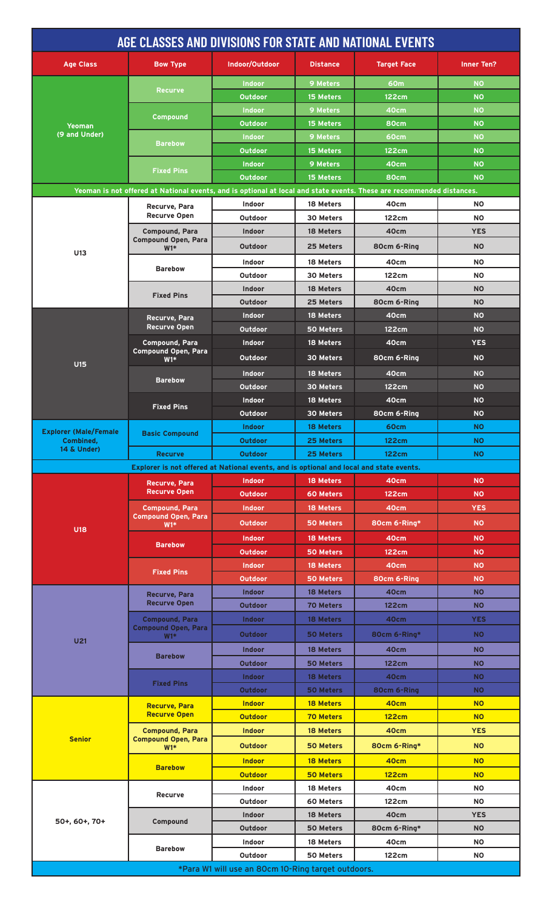|                                           | AGE CLASSES AND DIVISIONS FOR STATE AND NATIONAL EVENTS                                                               |                                                                                                    |                  |                    |                   |
|-------------------------------------------|-----------------------------------------------------------------------------------------------------------------------|----------------------------------------------------------------------------------------------------|------------------|--------------------|-------------------|
| <b>Age Class</b>                          | <b>Bow Type</b>                                                                                                       | Indoor/Outdoor                                                                                     | <b>Distance</b>  | <b>Target Face</b> | <b>Inner Ten?</b> |
|                                           | <b>Recurve</b>                                                                                                        | <b>Indoor</b>                                                                                      | <b>9 Meters</b>  | 60m                | <b>NO</b>         |
|                                           |                                                                                                                       | Outdoor                                                                                            | 15 Meters        | 122cm              | <b>NO</b>         |
|                                           | <b>Compound</b>                                                                                                       | <b>NO</b><br><b>9 Meters</b><br>40cm<br><b>Indoor</b><br><b>NO</b><br>Outdoor<br>15 Meters<br>80cm |                  |                    |                   |
| <b>Yeoman</b><br>(9 and Under)            |                                                                                                                       | <b>Indoor</b>                                                                                      | <b>9 Meters</b>  | 60cm               | <b>NO</b>         |
|                                           | <b>Barebow</b>                                                                                                        | Outdoor                                                                                            | 15 Meters        | <b>122cm</b>       | <b>NO</b>         |
|                                           |                                                                                                                       | <b>Indoor</b>                                                                                      | 9 Meters         | 40cm               | <b>NO</b>         |
|                                           | <b>Fixed Pins</b>                                                                                                     | <b>Outdoor</b>                                                                                     | <b>15 Meters</b> | 80cm               | <b>NO</b>         |
|                                           | Yeoman is not offered at National events, and is optional at local and state events. These are recommended distances. |                                                                                                    |                  |                    |                   |
|                                           | Recurve, Para                                                                                                         | <b>Indoor</b>                                                                                      | 18 Meters        | 40cm               | <b>NO</b>         |
|                                           | <b>Recurve Open</b>                                                                                                   | Outdoor                                                                                            | 30 Meters        | 122cm              | <b>NO</b>         |
|                                           | <b>Compound, Para</b>                                                                                                 | <b>Indoor</b>                                                                                      | 18 Meters        | 40cm               | <b>YES</b>        |
|                                           | <b>Compound Open, Para</b><br>$W1*$                                                                                   | <b>Outdoor</b>                                                                                     | 25 Meters        | 80cm 6-Ring        | <b>NO</b>         |
| U13                                       | <b>Barebow</b>                                                                                                        | <b>Indoor</b>                                                                                      | 18 Meters        | 40cm               | <b>NO</b>         |
|                                           |                                                                                                                       | Outdoor                                                                                            | 30 Meters        | 122cm              | <b>NO</b>         |
|                                           |                                                                                                                       | <b>Indoor</b>                                                                                      | 18 Meters        | 40cm               | <b>NO</b>         |
|                                           | <b>Fixed Pins</b>                                                                                                     | Outdoor                                                                                            | 25 Meters        | 80cm 6-Ring        | <b>NO</b>         |
|                                           | Recurve, Para                                                                                                         | <b>Indoor</b>                                                                                      | 18 Meters        | 40cm               | <b>NO</b>         |
|                                           | <b>Recurve Open</b>                                                                                                   | Outdoor                                                                                            | 50 Meters        | 122cm              | <b>NO</b>         |
|                                           | <b>Compound, Para</b>                                                                                                 | <b>Indoor</b>                                                                                      | 18 Meters        | 40cm               | <b>YES</b>        |
|                                           | Compound Open, Para<br>$W1*$                                                                                          | Outdoor                                                                                            | 30 Meters        | 80cm 6-Ring        | <b>NO</b>         |
| <b>U15</b>                                |                                                                                                                       | <b>Indoor</b>                                                                                      | 18 Meters        | 40cm               | <b>NO</b>         |
|                                           | <b>Barebow</b>                                                                                                        | Outdoor                                                                                            | <b>30 Meters</b> | 122cm              | <b>NO</b>         |
|                                           |                                                                                                                       | <b>Indoor</b>                                                                                      | 18 Meters        | 40cm               | <b>NO</b>         |
|                                           | <b>Fixed Pins</b>                                                                                                     | Outdoor                                                                                            | 30 Meters        | 80cm 6-Ring        | <b>NO</b>         |
|                                           |                                                                                                                       | <b>Indoor</b>                                                                                      | <b>18 Meters</b> | 60cm               | <b>NO</b>         |
| <b>Explorer (Male/Female</b><br>Combined, | <b>Basic Compound</b>                                                                                                 | <b>Outdoor</b>                                                                                     | 25 Meters        | <b>122cm</b>       | <b>NO</b>         |
| 14 & Under)                               | <b>Recurve</b>                                                                                                        | <b>Outdoor</b>                                                                                     | 25 Meters        | <b>122cm</b>       | <b>NO</b>         |
|                                           | Explorer is not offered at National events, and is optional and local and state events.                               |                                                                                                    |                  |                    |                   |
|                                           | Recurve, Para                                                                                                         | <b>Indoor</b>                                                                                      | 18 Meters        | 40cm               | <b>NO</b>         |
|                                           | <b>Recurve Open</b>                                                                                                   | Outdoor                                                                                            | 60 Meters        | 122cm              | <b>NO</b>         |
|                                           | <b>Compound, Para</b>                                                                                                 | <b>Indoor</b>                                                                                      | 18 Meters        | 40cm               | <b>YES</b>        |
|                                           | <b>Compound Open, Para</b><br>$W1*$                                                                                   | <b>Outdoor</b>                                                                                     | 50 Meters        | 80cm 6-Ring*       | <b>NO</b>         |
| <b>U18</b>                                | <b>Barebow</b>                                                                                                        | <b>Indoor</b>                                                                                      | 18 Meters        | 40cm               | <b>NO</b>         |
|                                           |                                                                                                                       | Outdoor                                                                                            | 50 Meters        | 122cm              | <b>NO</b>         |
|                                           |                                                                                                                       | <b>Indoor</b>                                                                                      | 18 Meters        | 40cm               | <b>NO</b>         |
|                                           | <b>Fixed Pins</b>                                                                                                     | Outdoor                                                                                            | <b>50 Meters</b> | 80cm 6-Ring        | <b>NO</b>         |
|                                           | <b>Recurve, Para</b>                                                                                                  | <b>Indoor</b>                                                                                      | <b>18 Meters</b> | 40cm               | <b>NO</b>         |
|                                           | <b>Recurve Open</b>                                                                                                   | Outdoor                                                                                            | <b>70 Meters</b> | 122cm              | <b>NO</b>         |
|                                           | <b>Compound, Para</b>                                                                                                 | <b>Indoor</b>                                                                                      | <b>18 Meters</b> | 40cm               | <b>YES</b>        |
|                                           | <b>Compound Open, Para</b><br>$W1*$                                                                                   | Outdoor                                                                                            | 50 Meters        | 80cm 6-Ring*       | <b>NO</b>         |
| U <sub>21</sub>                           |                                                                                                                       | <b>Indoor</b>                                                                                      | <b>18 Meters</b> | 40cm               | <b>NO</b>         |
|                                           | <b>Barebow</b>                                                                                                        | <b>Outdoor</b>                                                                                     | <b>50 Meters</b> | 122cm              | <b>NO</b>         |
|                                           |                                                                                                                       | <b>Indoor</b>                                                                                      | 18 Meters        | 40cm               | <b>NO</b>         |
|                                           | <b>Fixed Pins</b>                                                                                                     | Outdoor                                                                                            | <b>50 Meters</b> | 80cm 6-Ring        | <b>NO</b>         |
| <b>Senior</b>                             | <b>Recurve, Para</b>                                                                                                  | <b>Indoor</b>                                                                                      | <b>18 Meters</b> | 40cm               | <b>NO</b>         |
|                                           | <b>Recurve Open</b>                                                                                                   | <b>Outdoor</b>                                                                                     | <b>70 Meters</b> | <b>122cm</b>       | <b>NO</b>         |
|                                           | <b>Compound, Para</b><br><b>Compound Open, Para</b><br>$W1*$<br><b>Barebow</b>                                        | <b>Indoor</b>                                                                                      | 18 Meters        | 40cm               | <b>YES</b>        |
|                                           |                                                                                                                       | <b>Outdoor</b>                                                                                     | <b>50 Meters</b> | 80cm 6-Ring*       | <b>NO</b>         |
|                                           |                                                                                                                       | <b>Indoor</b>                                                                                      | <b>18 Meters</b> | 40cm               | <b>NO</b>         |
|                                           |                                                                                                                       | <b>Outdoor</b>                                                                                     | <b>50 Meters</b> | <b>122cm</b>       | <b>NO</b>         |
|                                           |                                                                                                                       | <b>Indoor</b>                                                                                      | 18 Meters        | 40cm               | <b>NO</b>         |
|                                           |                                                                                                                       | <b>Recurve</b><br>Outdoor<br>60 Meters<br>122cm                                                    | <b>NO</b>        |                    |                   |
|                                           |                                                                                                                       | Indoor                                                                                             | 18 Meters        | 40cm               | <b>YES</b>        |
| 50+, 60+, 70+                             | <b>Compound</b>                                                                                                       | Outdoor                                                                                            | 50 Meters        | 80cm 6-Ring*       | <b>NO</b>         |
|                                           |                                                                                                                       | Indoor                                                                                             | 18 Meters        | 40cm               | <b>NO</b>         |
|                                           | <b>Barebow</b>                                                                                                        | Outdoor                                                                                            | 50 Meters        | 122cm              | <b>NO</b>         |
|                                           |                                                                                                                       | *Para W1 will use an 80cm 10-Ring target outdoors.                                                 |                  |                    |                   |